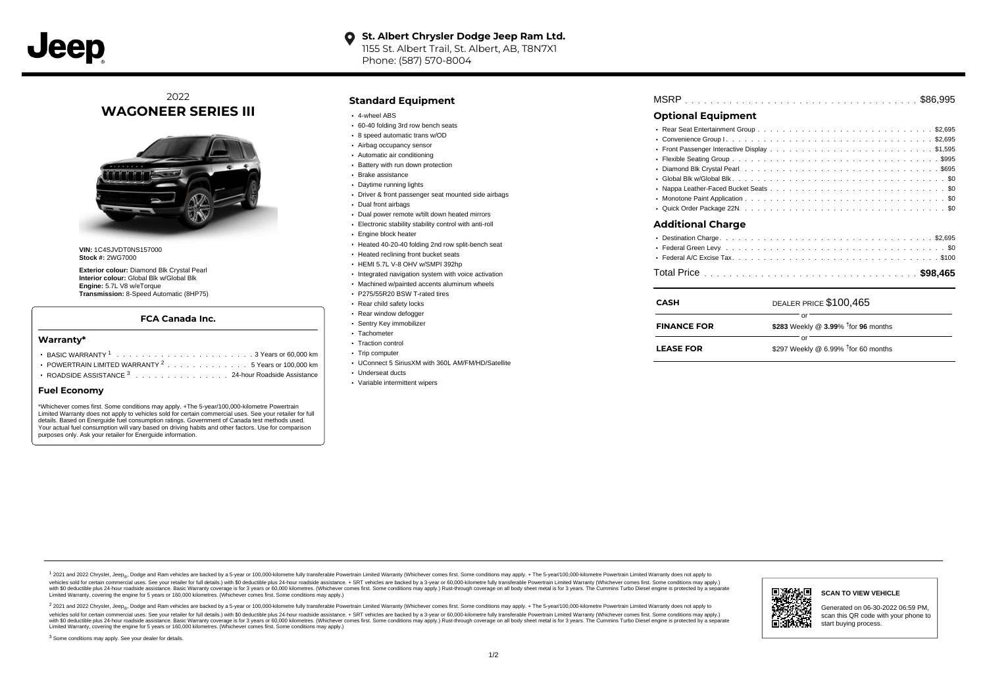# **O** St. Albert Chrysler Dodge Jeep Ram Ltd. 1155 St. Albert Trail, St. Albert, AB, T8N7X1

Phone: (587) 570-8004

## 2022 **WAGONEER SERIES III**



**VIN:** 1C4SJVDT0NS157000 **Stock #:** 2WG7000

**Exterior colour:** Diamond Blk Crystal Pearl **Interior colour:** Global Blk w/Global Blk **Engine:** 5.7L V8 w/eTorque **Transmission:** 8-Speed Automatic (8HP75)

#### **FCA Canada Inc.**

#### **Warranty\***

- . . . . . . . . . . . . . . . . . . . . . . . . . . . . . . . . . . . . . . . . . . . BASIC WARRANTY <sup>1</sup> 3 Years or 60,000 km POWERTRAIN LIMITED WARRANTY  $2 \ldots \ldots \ldots \ldots \ldots 5$  Years or 100,000 km
- ROADSIDE ASSISTANCE 3 . . . . . . . . . . . . . . . 24-hour Roadside Assistance

#### **Fuel Economy**

\*Whichever comes first. Some conditions may apply. +The 5-year/100,000-kilometre Powertrain Limited Warranty does not apply to vehicles sold for certain commercial uses. See your retailer for full details. Based on Energuide fuel consumption ratings. Government of Canada test methods used. Your actual fuel consumption will vary based on driving habits and other factors. Use for comparison purposes only. Ask your retailer for Energuide information.

### **Standard Equipment**

- 4-wheel ABS
- 60-40 folding 3rd row bench seats
- 8 speed automatic trans w/OD
- Airbag occupancy sensor
- Automatic air conditioning
- Battery with run down protection
- Brake assistance
- Daytime running lights
- Driver & front passenger seat mounted side airbags
- Dual front airbags
- Dual power remote w/tilt down heated mirrors
- Electronic stability stability control with anti-roll
- Engine block heater
- Heated 40-20-40 folding 2nd row split-bench seat
- **Heated reclining front bucket seats**
- HEMI 5.7L V-8 OHV w/SMPI 392hp
- Integrated navigation system with voice activation
- Machined w/painted accents aluminum wheels
- P275/55R20 BSW T-rated tires
- Rear child safety locks
- Rear window defogger Sentry Key immobilizer
- Tachometer
- Traction control
- Trip computer
- UConnect 5 SiriusXM with 360L AM/FM/HD/Satellite
- Underseat ducts
- Variable intermittent wipers

| <b>MSRP</b> |  |  |  |  |  |  |  |  |  |  |  |  |  |  |  |  |  |  |  |  |  |  |  |  |  |  |  |  |  |  |  |  |  |  |  |  |  |  |  |
|-------------|--|--|--|--|--|--|--|--|--|--|--|--|--|--|--|--|--|--|--|--|--|--|--|--|--|--|--|--|--|--|--|--|--|--|--|--|--|--|--|
|-------------|--|--|--|--|--|--|--|--|--|--|--|--|--|--|--|--|--|--|--|--|--|--|--|--|--|--|--|--|--|--|--|--|--|--|--|--|--|--|--|

## **Optional Equipment**

| Additional Charge |  |
|-------------------|--|
|                   |  |
|                   |  |
|                   |  |

| CASH               | DEALER PRICE \$100,465                          |
|--------------------|-------------------------------------------------|
| <b>FINANCE FOR</b> | \$283 Weekly @ 3.99% <sup>†</sup> for 96 months |
| <b>LEASE FOR</b>   | \$297 Weekly @ 6.99% $†$ for 60 months          |

1 2021 and 2022 Chrysler, Jeep<sub>er</sub>, Dodge and Ram vehicles are backed by a 5-year or 100,000-kilometre fully transferable Powertrain Limited Warranty (Whichever comes first. Some conditions may apply. + The 5-year/100,000debt of the product of the control and season to the control and the control of the control of the control of the control of the control of the SA-hour madside assistance. + SRT vehicles are backed by a 3-year or 60.00-kil ventals and contract when the contract when the contract you contract when the contract when the control of the set of a set of a set of a set of 3 years of 60,000 kilometres. Whichever comes first. Some conditions may app Limited Warranty, covering the engine for 5 years or 160,000 kilometres. (Whichever comes first. Some conditions may apply.)

2 2021 and 2022 Chrysler, Jeep<sub>es</sub> Dodge and Ram vehicles are backed by a 5-year or 100,000-kilometre fully transferable Powertrain Limited Warranty (Whichever comes first. Some conditions may apply. + The 5-year/100,000-k vehicles sold for certain commercial uses. See your retailer for full details.) with SO deductible plus 24-hour roadside assistance. + SRT vehicles are backed by a 3-year or 60.000-kilometre fully transferable Powertrain L with S0 deductible plus 24-hour roadside assistance. Basic Warranty coverage is for 3 years or 60,000 kilometres. (Whichever comes first. Some conditions may apply.) Rust-through coverage on all body sheet metal is for 3 y



#### **SCAN TO VIEW VEHICLE**

Generated on 06-30-2022 06:59 PM, scan this QR code with your phone to start buying process.

<sup>3</sup> Some conditions may apply. See your dealer for details.